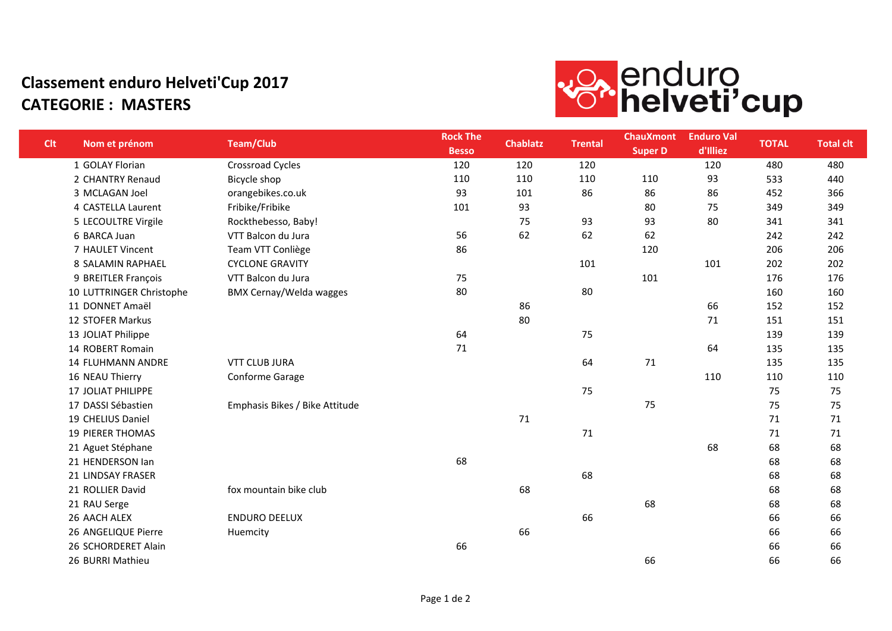## **Classement enduro Helveti'Cup 2017 CATEGORIE : MASTERS**



| <b>Clt</b> | Nom et prénom             | <b>Team/Club</b>               | <b>Rock The</b><br><b>Besso</b> | <b>Chablatz</b> | <b>Trental</b> | <b>ChauXmont</b><br><b>Super D</b> | <b>Enduro Val</b><br>d'Illiez | <b>TOTAL</b> | <b>Total clt</b> |
|------------|---------------------------|--------------------------------|---------------------------------|-----------------|----------------|------------------------------------|-------------------------------|--------------|------------------|
|            | 1 GOLAY Florian           | <b>Crossroad Cycles</b>        | 120                             | 120             | 120            |                                    | 120                           | 480          | 480              |
|            | 2 CHANTRY Renaud          | Bicycle shop                   | 110                             | 110             | 110            | 110                                | 93                            | 533          | 440              |
|            | 3 MCLAGAN Joel            | orangebikes.co.uk              | 93                              | 101             | 86             | 86                                 | 86                            | 452          | 366              |
|            | 4 CASTELLA Laurent        | Fribike/Fribike                | 101                             | 93              |                | 80                                 | 75                            | 349          | 349              |
|            | 5 LECOULTRE Virgile       | Rockthebesso, Baby!            |                                 | 75              | 93             | 93                                 | 80                            | 341          | 341              |
|            | 6 BARCA Juan              | VTT Balcon du Jura             | 56                              | 62              | 62             | 62                                 |                               | 242          | 242              |
|            | 7 HAULET Vincent          | Team VTT Conliège              | 86                              |                 |                | 120                                |                               | 206          | 206              |
|            | 8 SALAMIN RAPHAEL         | <b>CYCLONE GRAVITY</b>         |                                 |                 | 101            |                                    | 101                           | 202          | 202              |
|            | 9 BREITLER François       | VTT Balcon du Jura             | 75                              |                 |                | 101                                |                               | 176          | 176              |
|            | 10 LUTTRINGER Christophe  | <b>BMX Cernay/Welda wagges</b> | 80                              |                 | 80             |                                    |                               | 160          | 160              |
|            | 11 DONNET Amaël           |                                |                                 | 86              |                |                                    | 66                            | 152          | 152              |
|            | 12 STOFER Markus          |                                |                                 | 80              |                |                                    | 71                            | 151          | 151              |
|            | 13 JOLIAT Philippe        |                                | 64                              |                 | 75             |                                    |                               | 139          | 139              |
|            | 14 ROBERT Romain          |                                | 71                              |                 |                |                                    | 64                            | 135          | 135              |
|            | <b>14 FLUHMANN ANDRE</b>  | <b>VTT CLUB JURA</b>           |                                 |                 | 64             | $71\,$                             |                               | 135          | 135              |
|            | 16 NEAU Thierry           | Conforme Garage                |                                 |                 |                |                                    | 110                           | 110          | 110              |
|            | <b>17 JOLIAT PHILIPPE</b> |                                |                                 |                 | 75             |                                    |                               | 75           | 75               |
|            | 17 DASSI Sébastien        | Emphasis Bikes / Bike Attitude |                                 |                 |                | 75                                 |                               | 75           | 75               |
|            | 19 CHELIUS Daniel         |                                |                                 | 71              |                |                                    |                               | 71           | 71               |
|            | <b>19 PIERER THOMAS</b>   |                                |                                 |                 | 71             |                                    |                               | 71           | 71               |
|            | 21 Aguet Stéphane         |                                |                                 |                 |                |                                    | 68                            | 68           | 68               |
|            | 21 HENDERSON Ian          |                                | 68                              |                 |                |                                    |                               | 68           | 68               |
|            | 21 LINDSAY FRASER         |                                |                                 |                 | 68             |                                    |                               | 68           | 68               |
|            | 21 ROLLIER David          | fox mountain bike club         |                                 | 68              |                |                                    |                               | 68           | 68               |
|            | 21 RAU Serge              |                                |                                 |                 |                | 68                                 |                               | 68           | 68               |
|            | 26 AACH ALEX              | <b>ENDURO DEELUX</b>           |                                 |                 | 66             |                                    |                               | 66           | 66               |
|            | 26 ANGELIQUE Pierre       | Huemcity                       |                                 | 66              |                |                                    |                               | 66           | 66               |
|            | 26 SCHORDERET Alain       |                                | 66                              |                 |                |                                    |                               | 66           | 66               |
|            | 26 BURRI Mathieu          |                                |                                 |                 |                | 66                                 |                               | 66           | 66               |